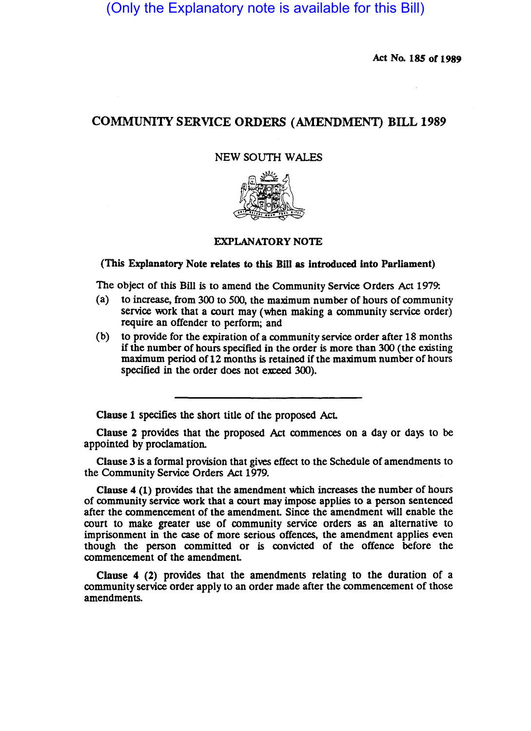(Only the Explanatory note is available for this Bill)

Act No. 185 of 1989

## COMMUNITY SERVICE ORDERS (AMENDMENT) BILL 1989

## NEW SOUTH WALES



## EXPLANATORY NOTE

## (This Explanatory Note relates to this Bill as introduced into Parliament)

The Object of this Bill is to amend the Community Service Orders Act 1979:

- (a) to increase, from 300 to 500, the maximum number of hours of community service work that a court may (when making a community service order) require an offender to perform; and
- (b) to provide for the expiration of a community service order after 18 months if the number of hours specified in the order is more than 300 (the existing maximum period of 12 months is retained if the maximum number of hours specified in the order does not exceed 300).

Clause 1 specifies the short title of the proposed Act.

Clause 2 provides that the proposed Act commences on a day or days to be appointed by proclamation.

Clause 3 is a formal provision that gives effect to the Schedule of amendments to the Community Service Orders Act 1979.

Clause 4 (1) provides that the amendment which increases the number of hours of community service work that a court may impose applies to a person sentenced after the commencement of the amendment Since the amendment will enable the court to make greater use of community service orders as an alternative to imprisonment in the case of more serious offences, the amendment applies even though the person committed or is convicted of the offence before the commencement of the amendment

Clause 4 (2) provides that the amendments relating to the duration of a community service order apply to an order made after the commencement of those amendments.